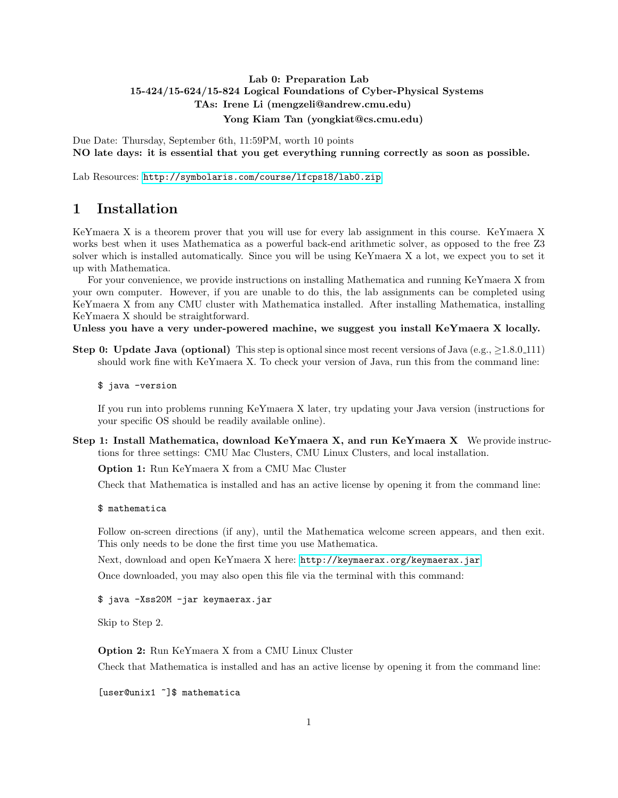## Lab 0: Preparation Lab 15-424/15-624/15-824 Logical Foundations of Cyber-Physical Systems TAs: Irene Li (mengzeli@andrew.cmu.edu) Yong Kiam Tan (yongkiat@cs.cmu.edu)

Due Date: Thursday, September 6th, 11:59PM, worth 10 points NO late days: it is essential that you get everything running correctly as soon as possible.

Lab Resources: <http://symbolaris.com/course/lfcps18/lab0.zip>

## 1 Installation

KeYmaera X is a theorem prover that you will use for every lab assignment in this course. KeYmaera X works best when it uses Mathematica as a powerful back-end arithmetic solver, as opposed to the free Z3 solver which is installed automatically. Since you will be using KeYmaera X a lot, we expect you to set it up with Mathematica.

For your convenience, we provide instructions on installing Mathematica and running KeYmaera X from your own computer. However, if you are unable to do this, the lab assignments can be completed using KeYmaera X from any CMU cluster with Mathematica installed. After installing Mathematica, installing KeYmaera X should be straightforward.

Unless you have a very under-powered machine, we suggest you install KeYmaera X locally.

Step 0: Update Java (optional) This step is optional since most recent versions of Java (e.g.,  $\geq 1.8.0 \cdot 111$ ) should work fine with KeYmaera X. To check your version of Java, run this from the command line:

\$ java -version

If you run into problems running KeYmaera X later, try updating your Java version (instructions for your specific OS should be readily available online).

Step 1: Install Mathematica, download KeYmaera X, and run KeYmaera X We provide instructions for three settings: CMU Mac Clusters, CMU Linux Clusters, and local installation.

Option 1: Run KeYmaera X from a CMU Mac Cluster

Check that Mathematica is installed and has an active license by opening it from the command line:

\$ mathematica

Follow on-screen directions (if any), until the Mathematica welcome screen appears, and then exit. This only needs to be done the first time you use Mathematica.

Next, download and open KeYmaera X here: <http://keymaerax.org/keymaerax.jar>

Once downloaded, you may also open this file via the terminal with this command:

\$ java -Xss20M -jar keymaerax.jar

Skip to Step 2.

Option 2: Run KeYmaera X from a CMU Linux Cluster

Check that Mathematica is installed and has an active license by opening it from the command line:

[user@unix1 ~]\$ mathematica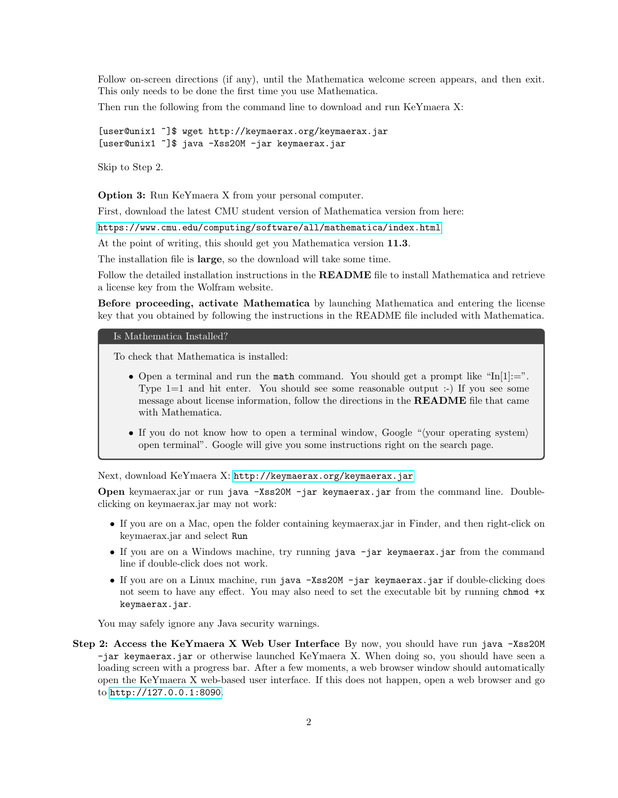Follow on-screen directions (if any), until the Mathematica welcome screen appears, and then exit. This only needs to be done the first time you use Mathematica.

Then run the following from the command line to download and run KeYmaera X:

[user@unix1 ~]\$ wget http://keymaerax.org/keymaerax.jar [user@unix1 ~]\$ java -Xss20M -jar keymaerax.jar

Skip to Step 2.

Option 3: Run KeYmaera X from your personal computer.

First, download the latest CMU student version of Mathematica version from here:

<https://www.cmu.edu/computing/software/all/mathematica/index.html>

At the point of writing, this should get you Mathematica version 11.3.

The installation file is large, so the download will take some time.

Follow the detailed installation instructions in the **README** file to install Mathematica and retrieve a license key from the Wolfram website.

Before proceeding, activate Mathematica by launching Mathematica and entering the license key that you obtained by following the instructions in the README file included with Mathematica.

#### Is Mathematica Installed?

To check that Mathematica is installed:

- Open a terminal and run the math command. You should get a prompt like " $In[1]:="$ ". Type  $1=1$  and hit enter. You should see some reasonable output :-) If you see some message about license information, follow the directions in the README file that came with Mathematica.
- If you do not know how to open a terminal window, Google " $\langle$ your operating system $\rangle$ open terminal". Google will give you some instructions right on the search page.

Next, download KeYmaera X: <http://keymaerax.org/keymaerax.jar>

Open keymaerax.jar or run java -Xss20M -jar keymaerax.jar from the command line. Doubleclicking on keymaerax.jar may not work:

- If you are on a Mac, open the folder containing keymaerax.jar in Finder, and then right-click on keymaerax.jar and select Run
- If you are on a Windows machine, try running java -jar keymaerax.jar from the command line if double-click does not work.
- If you are on a Linux machine, run java -Xss20M -jar keymaerax.jar if double-clicking does not seem to have any effect. You may also need to set the executable bit by running chmod +x keymaerax.jar.

You may safely ignore any Java security warnings.

Step 2: Access the KeYmaera X Web User Interface By now, you should have run java -Xss20M -jar keymaerax.jar or otherwise launched KeYmaera X. When doing so, you should have seen a loading screen with a progress bar. After a few moments, a web browser window should automatically open the KeYmaera X web-based user interface. If this does not happen, open a web browser and go to <http://127.0.0.1:8090>.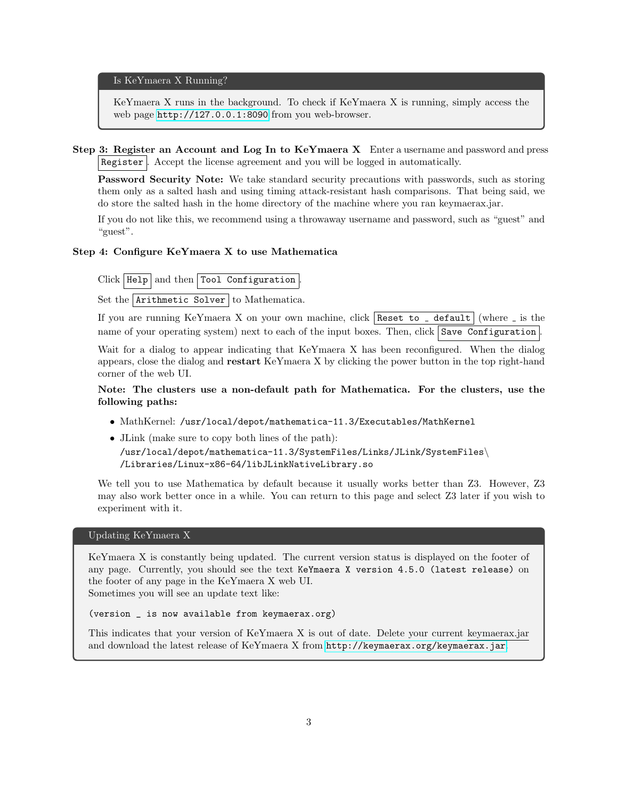Is KeYmaera X Running?

KeYmaera X runs in the background. To check if KeYmaera X is running, simply access the web page <http://127.0.0.1:8090> from you web-browser.

Step 3: Register an Account and Log In to KeYmaera X Enter a username and password and press Register . Accept the license agreement and you will be logged in automatically.

Password Security Note: We take standard security precautions with passwords, such as storing them only as a salted hash and using timing attack-resistant hash comparisons. That being said, we do store the salted hash in the home directory of the machine where you ran keymaerax.jar.

If you do not like this, we recommend using a throwaway username and password, such as "guest" and "guest".

#### Step 4: Configure KeYmaera X to use Mathematica

 $Click | Help | and then | Tool Configuration$ 

Set the  $Arithmetic$  Solver to Mathematica.

If you are running KeYmaera X on your own machine, click | Reset to \_ default | (where  $\overline{\ }$  is the name of your operating system) next to each of the input boxes. Then, click  $\vert$  Save Configuration

Wait for a dialog to appear indicating that KeYmaera X has been reconfigured. When the dialog appears, close the dialog and restart KeYmaera X by clicking the power button in the top right-hand corner of the web UI.

### Note: The clusters use a non-default path for Mathematica. For the clusters, use the following paths:

- MathKernel: /usr/local/depot/mathematica-11.3/Executables/MathKernel
- JLink (make sure to copy both lines of the path):

/usr/local/depot/mathematica-11.3/SystemFiles/Links/JLink/SystemFiles\ /Libraries/Linux-x86-64/libJLinkNativeLibrary.so

We tell you to use Mathematica by default because it usually works better than  $Z3$ . However,  $Z3$ may also work better once in a while. You can return to this page and select Z3 later if you wish to experiment with it.

#### Updating KeYmaera X

KeYmaera X is constantly being updated. The current version status is displayed on the footer of any page. Currently, you should see the text KeYmaera X version 4.5.0 (latest release) on the footer of any page in the KeYmaera X web UI. Sometimes you will see an update text like:

(version \_ is now available from keymaerax.org)

This indicates that your version of KeYmaera X is out of date. Delete your current keymaerax.jar and download the latest release of KeYmaera X from <http://keymaerax.org/keymaerax.jar>.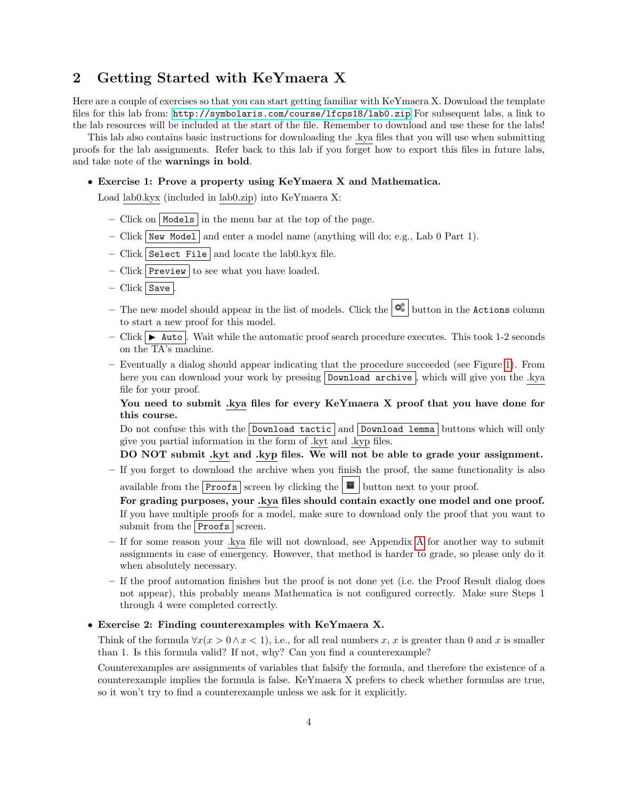## 2 Getting Started with KeYmaera X

Here are a couple of exercises so that you can start getting familiar with KeYmaera X. Download the template files for this lab from: <http://symbolaris.com/course/lfcps18/lab0.zip> For subsequent labs, a link to the lab resources will be included at the start of the file. Remember to download and use these for the labs!

This lab also contains basic instructions for downloading the .kya files that you will use when submitting proofs for the lab assignments. Refer back to this lab if you forget how to export this files in future labs, and take note of the warnings in bold.

#### • Exercise 1: Prove a property using KeYmaera X and Mathematica.

Load lab0.kyx (included in lab0.zip) into KeYmaera X:

- Click on Models in the menu bar at the top of the page.
- Click New Model and enter a model name (anything will do; e.g., Lab 0 Part 1).
- Click Select File and locate the lab0.kyx file.
- Click Preview to see what you have loaded.
- $-$  Click  $\vert$  Save  $\vert$ .
- The new model should appear in the list of models. Click the  $\mathcal{E}$  button in the Actions column to start a new proof for this model.
- Click  $\blacktriangleright$  Auto . Wait while the automatic proof search procedure executes. This took 1-2 seconds on the TA's machine.
- Eventually a dialog should appear indicating that the procedure succeeded (see Figure [1\)](#page-4-0). From here you can download your work by pressing Download archive, which will give you the .kya file for your proof.

You need to submit .kya files for every KeYmaera X proof that you have done for this course.

Do not confuse this with the Download tactic and Download lemma buttons which will only give you partial information in the form of .kyt and .kyp files.

### DO NOT submit .kyt and .kyp files. We will not be able to grade your assignment.

– If you forget to download the archive when you finish the proof, the same functionality is also available from the **Proofs** screen by clicking the **F** button next to your proof.

For grading purposes, your .kya files should contain exactly one model and one proof.

If you have multiple proofs for a model, make sure to download only the proof that you want to submit from the  $Proofs$  screen.

- If for some reason your .kya file will not download, see Appendix [A](#page-6-0) for another way to submit assignments in case of emergency. However, that method is harder to grade, so please only do it when absolutely necessary.
- If the proof automation finishes but the proof is not done yet (i.e. the Proof Result dialog does not appear), this probably means Mathematica is not configured correctly. Make sure Steps 1 through 4 were completed correctly.

### • Exercise 2: Finding counterexamples with KeYmaera X.

Think of the formula  $\forall x(x > 0 \land x < 1)$ , i.e., for all real numbers x, x is greater than 0 and x is smaller than 1. Is this formula valid? If not, why? Can you find a counterexample?

Counterexamples are assignments of variables that falsify the formula, and therefore the existence of a counterexample implies the formula is false. KeYmaera X prefers to check whether formulas are true, so it won't try to find a counterexample unless we ask for it explicitly.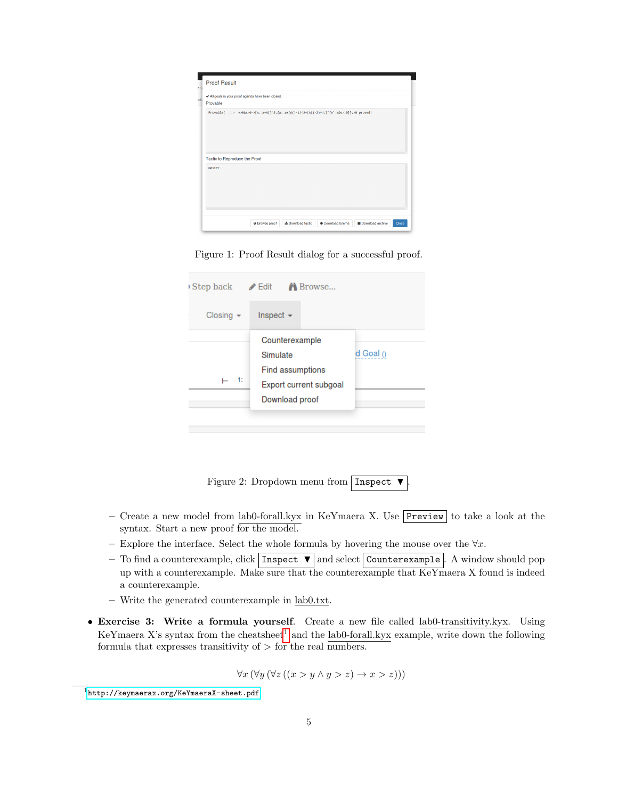| Provable                                | All goals in your proof agenda have been closed.                                       |  |  |
|-----------------------------------------|----------------------------------------------------------------------------------------|--|--|
|                                         | Provable( ==> v>8&a>0->[a:=a+A()^2;{a:=a+(A()-1)^2+(A()-2)^4;}*{v'=a&v>=0}]v>0 proved) |  |  |
| Tactic to Reproduce the Proof<br>master |                                                                                        |  |  |
|                                         |                                                                                        |  |  |

<span id="page-4-0"></span>Figure 1: Proof Result dialog for a successful proof.

| Step back      | Edit <b>A</b> Browse                                                                              |           |
|----------------|---------------------------------------------------------------------------------------------------|-----------|
| Closing $\sim$ | Inspect $\sim$                                                                                    |           |
| -1:            | Counterexample<br>Simulate<br><b>Find assumptions</b><br>Export current subgoal<br>Download proof | d Goal () |

Figure 2: Dropdown menu from Inspect  $\blacktriangledown$ .

- Create a new model from lab0-forall.kyx in KeYmaera X. Use Preview to take a look at the syntax. Start a new proof for the model.
- Explore the interface. Select the whole formula by hovering the mouse over the  $\forall x$ .
- To find a counterexample, click  $\boxed{\text{Inspect } \blacktriangledown}$  and select  $\boxed{\text{Counterexample}}$ . A window should pop up with a counterexample. Make sure that the counterexample that KeYmaera X found is indeed a counterexample.
- Write the generated counterexample in lab0.txt.
- Exercise 3: Write a formula yourself. Create a new file called lab0-transitivity.kyx. Using KeYmaera X's syntax from the cheatsheet<sup>[1](#page-4-1)</sup> and the lab0-forall.kyx example, write down the following formula that expresses transitivity of  $>$  for the real numbers.

$$
\forall x (\forall y (\forall z ((x > y \land y > z) \to x > z)))
$$

<span id="page-4-1"></span> $^{\rm 1}$ <http://keymaerax.org/KeYmaeraX-sheet.pdf>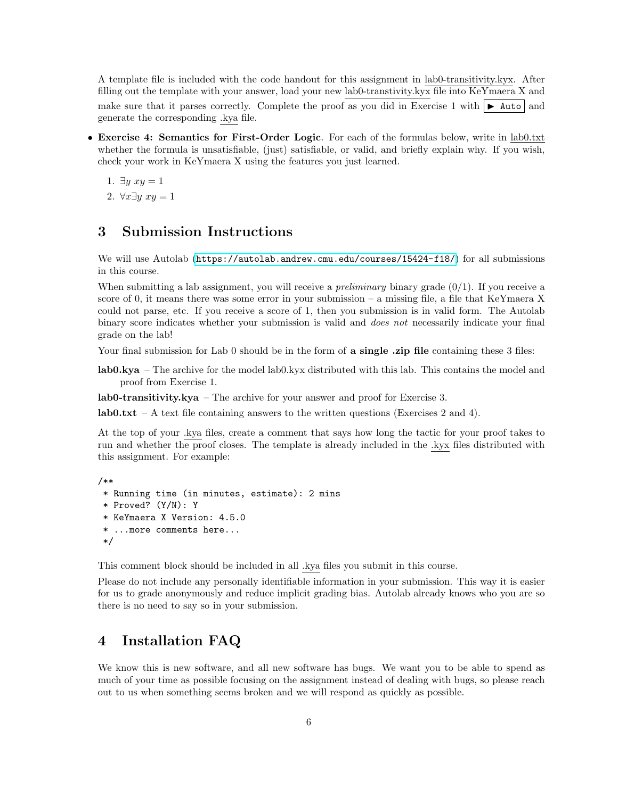A template file is included with the code handout for this assignment in lab0-transitivity.kyx. After filling out the template with your answer, load your new lab0-transtivity.kyx file into KeYmaera X and make sure that it parses correctly. Complete the proof as you did in Exercise 1 with  $\blacktriangleright$  Auto and generate the corresponding .kya file.

• Exercise 4: Semantics for First-Order Logic. For each of the formulas below, write in lab0.txt whether the formula is unsatisfiable, (just) satisfiable, or valid, and briefly explain why. If you wish, check your work in KeYmaera X using the features you just learned.

1.  $\exists y \ xy = 1$ 

2. ∀ $x\exists y$   $xy = 1$ 

# 3 Submission Instructions

We will use Autolab (<https://autolab.andrew.cmu.edu/courses/15424-f18/>) for all submissions in this course.

When submitting a lab assignment, you will receive a *preliminary* binary grade  $(0/1)$ . If you receive a score of 0, it means there was some error in your submission – a missing file, a file that KeYmaera X could not parse, etc. If you receive a score of 1, then you submission is in valid form. The Autolab binary score indicates whether your submission is valid and does not necessarily indicate your final grade on the lab!

Your final submission for Lab 0 should be in the form of **a single** .**zip file** containing these 3 files:

lab0.kya – The archive for the model lab0.kyx distributed with this lab. This contains the model and proof from Exercise 1.

lab0-transitivity.kya – The archive for your answer and proof for Exercise 3.

lab0.txt – A text file containing answers to the written questions (Exercises 2 and 4).

At the top of your .kya files, create a comment that says how long the tactic for your proof takes to run and whether the proof closes. The template is already included in the .kyx files distributed with this assignment. For example:

```
/**
* Running time (in minutes, estimate): 2 mins
* Proved? (Y/N): Y
* KeYmaera X Version: 4.5.0
* ...more comments here...
*/
```
This comment block should be included in all .kya files you submit in this course.

Please do not include any personally identifiable information in your submission. This way it is easier for us to grade anonymously and reduce implicit grading bias. Autolab already knows who you are so there is no need to say so in your submission.

# 4 Installation FAQ

We know this is new software, and all new software has bugs. We want you to be able to spend as much of your time as possible focusing on the assignment instead of dealing with bugs, so please reach out to us when something seems broken and we will respond as quickly as possible.